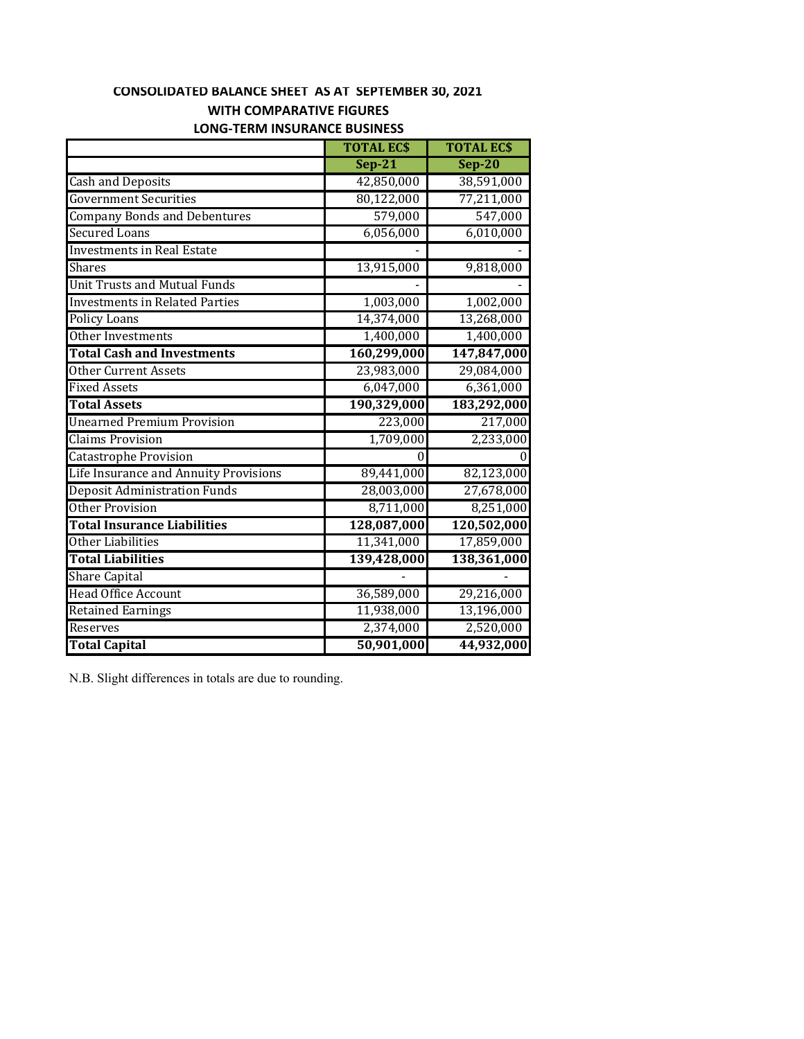# **CONSOLIDATED BALANCE SHEET AS AT SEPTEMBER 30, 2021 WITH COMPARATIVE FIGURES**

|                                       | <b>TOTAL ECS</b> | <b>TOTAL ECS</b> |
|---------------------------------------|------------------|------------------|
|                                       | $Sep-21$         | $Sep-20$         |
| <b>Cash and Deposits</b>              | 42,850,000       | 38,591,000       |
| <b>Government Securities</b>          | 80,122,000       | 77,211,000       |
| <b>Company Bonds and Debentures</b>   | 579,000          | 547,000          |
| <b>Secured Loans</b>                  | 6,056,000        | 6,010,000        |
| <b>Investments in Real Estate</b>     |                  |                  |
| Shares                                | 13,915,000       | 9,818,000        |
| <b>Unit Trusts and Mutual Funds</b>   |                  |                  |
| <b>Investments in Related Parties</b> | 1,003,000        | 1,002,000        |
| <b>Policy Loans</b>                   | 14,374,000       | 13,268,000       |
| Other Investments                     | 1,400,000        | 1,400,000        |
| <b>Total Cash and Investments</b>     | 160,299,000      | 147,847,000      |
| <b>Other Current Assets</b>           | 23,983,000       | 29,084,000       |
| <b>Fixed Assets</b>                   | 6,047,000        | 6,361,000        |
| <b>Total Assets</b>                   | 190,329,000      | 183,292,000      |
| <b>Unearned Premium Provision</b>     | 223,000          | 217,000          |
| <b>Claims Provision</b>               | 1,709,000        | 2,233,000        |
| <b>Catastrophe Provision</b>          | 0                |                  |
| Life Insurance and Annuity Provisions | 89,441,000       | 82,123,000       |
| <b>Deposit Administration Funds</b>   | 28,003,000       | 27,678,000       |
| <b>Other Provision</b>                | 8,711,000        | 8,251,000        |
| <b>Total Insurance Liabilities</b>    | 128,087,000      | 120,502,000      |
| Other Liabilities                     | 11,341,000       | 17,859,000       |
| <b>Total Liabilities</b>              | 139,428,000      | 138,361,000      |
| <b>Share Capital</b>                  |                  |                  |
| <b>Head Office Account</b>            | 36,589,000       | 29,216,000       |
| <b>Retained Earnings</b>              | 11,938,000       | 13,196,000       |
| Reserves                              | 2,374,000        | 2,520,000        |
| <b>Total Capital</b>                  | 50,901,000       | 44,932,000       |

#### **LONG‐TERM INSURANCE BUSINESS**

N.B. Slight differences in totals are due to rounding.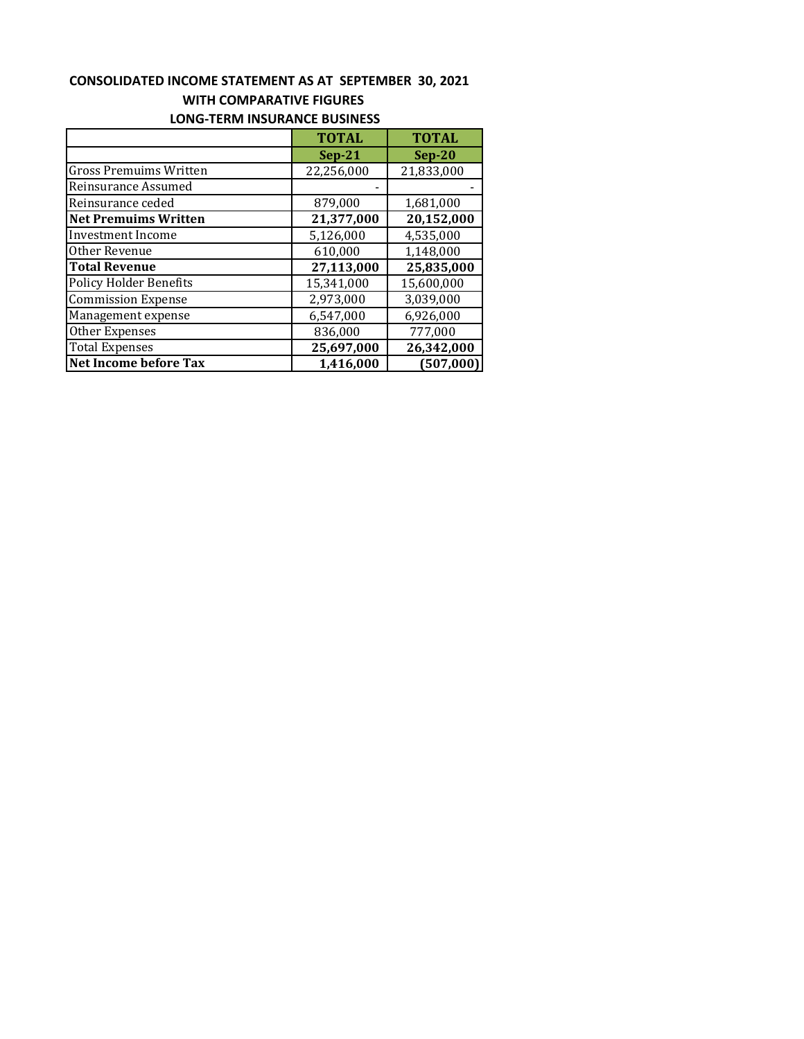### **CONSOLIDATED INCOME STATEMENT AS AT SEPTEMBER 30, 2021 WITH COMPARATIVE FIGURES LONG‐TERM INSURANCE BUSINESS**

|                               | <b>TOTAL</b> | <b>TOTAL</b> |  |
|-------------------------------|--------------|--------------|--|
|                               | $Sep-21$     | $Sep-20$     |  |
| <b>Gross Premuims Written</b> | 22,256,000   | 21,833,000   |  |
| Reinsurance Assumed           |              |              |  |
| Reinsurance ceded             | 879,000      | 1,681,000    |  |
| <b>Net Premuims Written</b>   | 21,377,000   | 20,152,000   |  |
| <b>Investment Income</b>      | 5,126,000    | 4,535,000    |  |
| Other Revenue                 | 610,000      | 1,148,000    |  |
| <b>Total Revenue</b>          | 27,113,000   | 25,835,000   |  |
| <b>Policy Holder Benefits</b> | 15,341,000   | 15,600,000   |  |
| <b>Commission Expense</b>     | 2,973,000    | 3,039,000    |  |
| Management expense            | 6,547,000    | 6,926,000    |  |
| Other Expenses                | 836,000      | 777,000      |  |
| <b>Total Expenses</b>         | 25,697,000   | 26,342,000   |  |
| Net Income before Tax         | 1,416,000    | (507,000)    |  |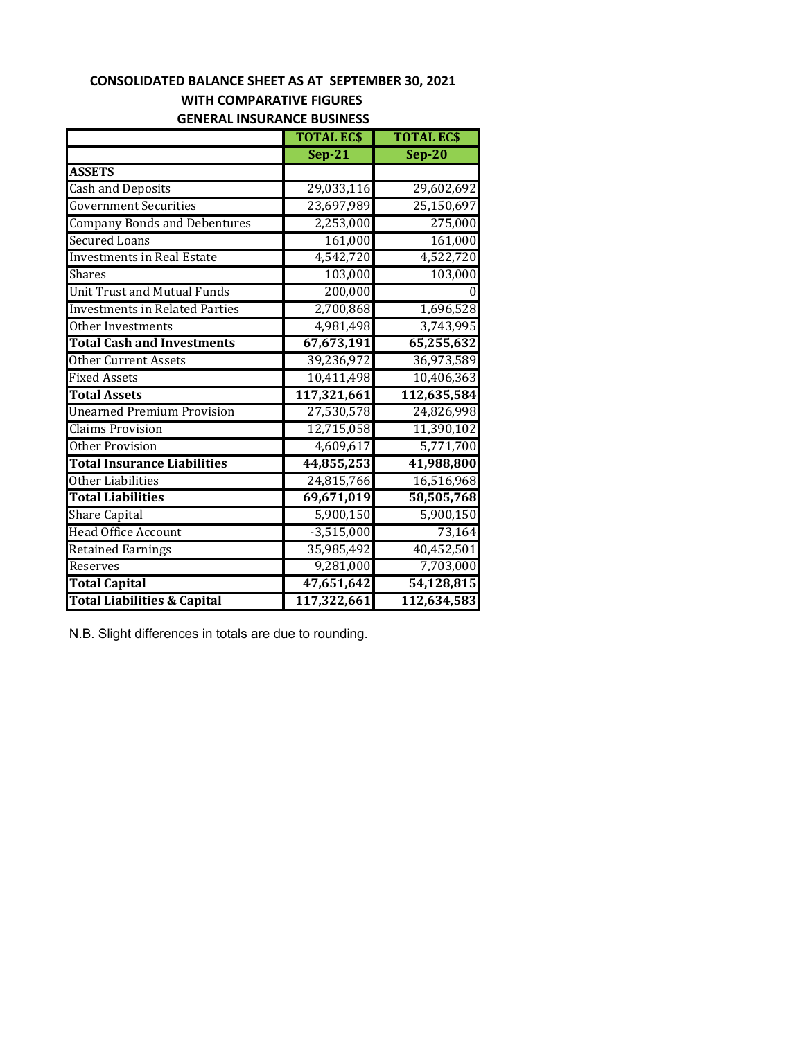## **WITH COMPARATIVE FIGURES CONSOLIDATED BALANCE SHEET AS AT SEPTEMBER 30, 2021**

### **GENERAL INSURANCE BUSINESS**

|                                        | <b>TOTAL ECS</b> | <b>TOTAL ECS</b> |
|----------------------------------------|------------------|------------------|
|                                        | <b>Sep-21</b>    | $Sep-20$         |
| <b>ASSETS</b>                          |                  |                  |
| <b>Cash and Deposits</b>               | 29,033,116       | 29,602,692       |
| <b>Government Securities</b>           | 23,697,989       | 25,150,697       |
| <b>Company Bonds and Debentures</b>    | 2,253,000        | 275,000          |
| <b>Secured Loans</b>                   | 161,000          | 161,000          |
| <b>Investments in Real Estate</b>      | 4,542,720        | 4,522,720        |
| <b>Shares</b>                          | 103,000          | 103,000          |
| <b>Unit Trust and Mutual Funds</b>     | 200,000          |                  |
| <b>Investments in Related Parties</b>  | 2,700,868        | 1,696,528        |
| Other Investments                      | 4,981,498        | 3,743,995        |
| <b>Total Cash and Investments</b>      | 67,673,191       | 65,255,632       |
| <b>Other Current Assets</b>            | 39,236,972       | 36,973,589       |
| <b>Fixed Assets</b>                    | 10,411,498       | 10,406,363       |
| <b>Total Assets</b>                    | 117,321,661      | 112,635,584      |
| <b>Unearned Premium Provision</b>      | 27,530,578       | 24,826,998       |
| <b>Claims Provision</b>                | 12,715,058       | 11,390,102       |
| <b>Other Provision</b>                 | 4,609,617        | 5,771,700        |
| <b>Total Insurance Liabilities</b>     | 44,855,253       | 41,988,800       |
| Other Liabilities                      | 24,815,766       | 16,516,968       |
| <b>Total Liabilities</b>               | 69,671,019       | 58,505,768       |
| <b>Share Capital</b>                   | 5,900,150        | 5,900,150        |
| <b>Head Office Account</b>             | $-3,515,000$     | 73,164           |
| <b>Retained Earnings</b>               | 35,985,492       | 40,452,501       |
| Reserves                               | 9,281,000        | 7,703,000        |
| <b>Total Capital</b>                   | 47,651,642       | 54,128,815       |
| <b>Total Liabilities &amp; Capital</b> | 117,322,661      | 112,634,583      |

N.B. Slight differences in totals are due to rounding.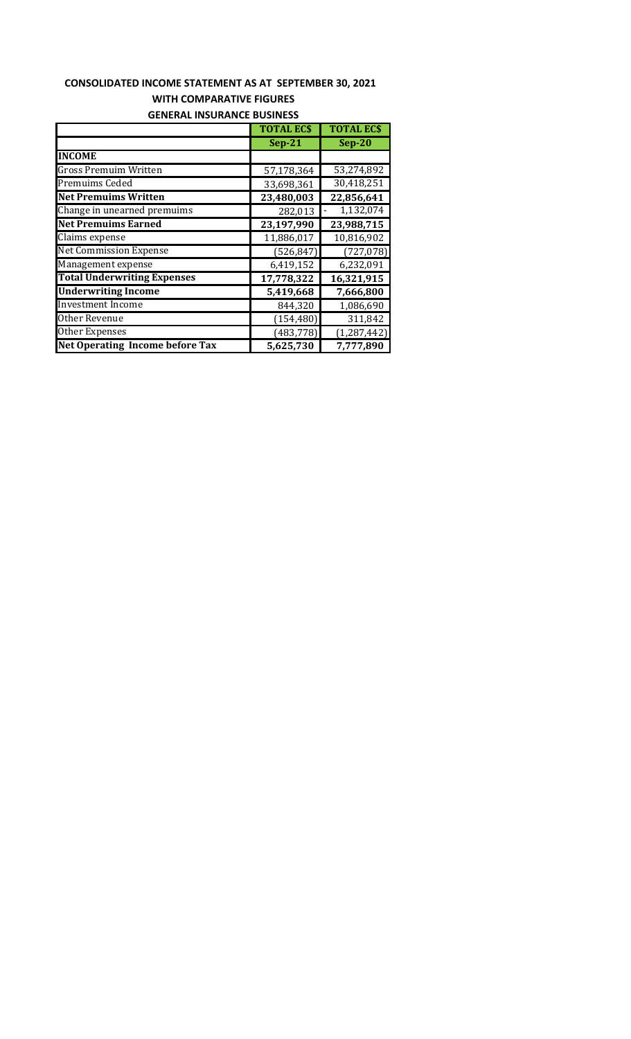# **CONSOLIDATED INCOME STATEMENT AS AT SEPTEMBER 30, 2021 WITH COMPARATIVE FIGURES GENERAL INSURANCE BUSINESS**

|                                        | <b>TOTAL ECS</b> | <b>TOTAL ECS</b> |
|----------------------------------------|------------------|------------------|
|                                        | $Sep-21$         | $Sep-20$         |
| <b>INCOME</b>                          |                  |                  |
| <b>Gross Premuim Written</b>           | 57,178,364       | 53,274,892       |
| <b>Premuims Ceded</b>                  | 33,698,361       | 30,418,251       |
| <b>Net Premuims Written</b>            | 23,480,003       | 22,856,641       |
| Change in unearned premuims            | 282,013          | 1,132,074        |
| <b>Net Premuims Earned</b>             | 23,197,990       | 23,988,715       |
| Claims expense                         | 11,886,017       | 10,816,902       |
| <b>Net Commission Expense</b>          | (526, 847)       | (727, 078)       |
| Management expense                     | 6,419,152        | 6,232,091        |
| <b>Total Underwriting Expenses</b>     | 17,778,322       | 16,321,915       |
| <b>Underwriting Income</b>             | 5,419,668        | 7,666,800        |
| <b>Investment Income</b>               | 844,320          | 1,086,690        |
| Other Revenue                          | (154, 480)       | 311,842          |
| Other Expenses                         | (483, 778)       | (1, 287, 442)    |
| <b>Net Operating Income before Tax</b> | 5,625,730        | 7,777,890        |